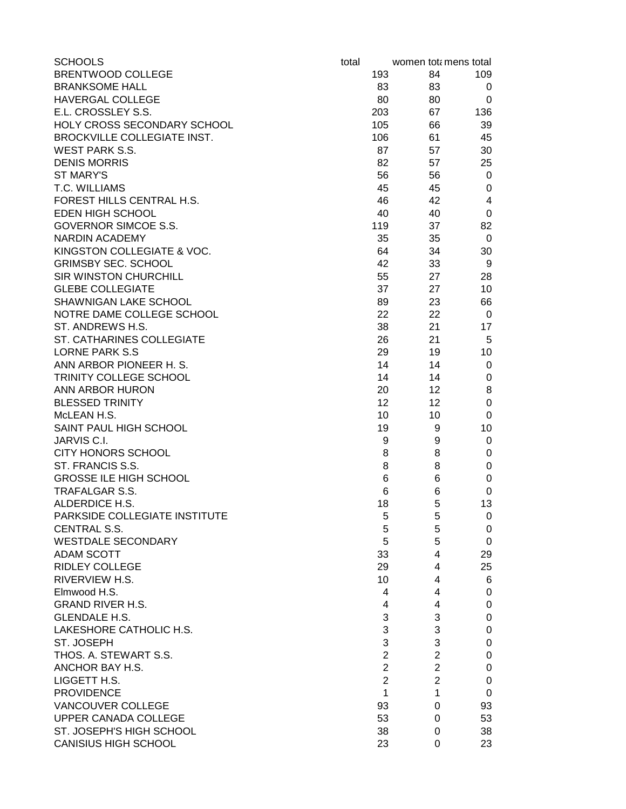| <b>SCHOOLS</b>                | total |                |    | women totamens total          |
|-------------------------------|-------|----------------|----|-------------------------------|
| <b>BRENTWOOD COLLEGE</b>      |       | 193            | 84 | 109                           |
| <b>BRANKSOME HALL</b>         |       | 83             | 83 | 0                             |
| <b>HAVERGAL COLLEGE</b>       |       | 80             | 80 | 0                             |
| E.L. CROSSLEY S.S.            |       | 203            | 67 | 136                           |
| HOLY CROSS SECONDARY SCHOOL   |       | 105            | 66 | 39                            |
| BROCKVILLE COLLEGIATE INST.   |       | 106            | 61 | 45                            |
| <b>WEST PARK S.S.</b>         |       | 87             | 57 | 30                            |
| <b>DENIS MORRIS</b>           |       | 82             | 57 | 25                            |
| <b>ST MARY'S</b>              |       | 56             | 56 | 0                             |
| T.C. WILLIAMS                 |       | 45             | 45 | $\pmb{0}$                     |
| FOREST HILLS CENTRAL H.S.     |       | 46             | 42 | $\overline{\mathbf{4}}$       |
| EDEN HIGH SCHOOL              |       | 40             | 40 | $\pmb{0}$                     |
| <b>GOVERNOR SIMCOE S.S.</b>   |       | 119            | 37 | 82                            |
| NARDIN ACADEMY                |       | 35             | 35 | 0                             |
| KINGSTON COLLEGIATE & VOC.    |       | 64             | 34 | 30                            |
| <b>GRIMSBY SEC. SCHOOL</b>    |       | 42             | 33 | 9                             |
| <b>SIR WINSTON CHURCHILL</b>  |       | 55             | 27 | 28                            |
| <b>GLEBE COLLEGIATE</b>       |       | 37             | 27 | 10                            |
| SHAWNIGAN LAKE SCHOOL         |       | 89             | 23 | 66                            |
| NOTRE DAME COLLEGE SCHOOL     |       | 22             | 22 | 0                             |
| ST. ANDREWS H.S.              |       | 38             | 21 | 17                            |
| ST. CATHARINES COLLEGIATE     |       | 26             | 21 | 5                             |
| <b>LORNE PARK S.S</b>         |       | 29             | 19 | 10                            |
| ANN ARBOR PIONEER H. S.       |       | 14             | 14 | 0                             |
| TRINITY COLLEGE SCHOOL        |       | 14             | 14 | $\pmb{0}$                     |
| ANN ARBOR HURON               |       | 20             | 12 | 8                             |
| <b>BLESSED TRINITY</b>        |       | 12             | 12 | $\pmb{0}$                     |
| McLEAN H.S.                   |       | 10             | 10 | 0                             |
| SAINT PAUL HIGH SCHOOL        |       | 19             |    | 10<br>9                       |
| JARVIS C.I.                   |       | 9              |    | $\mathbf 0$<br>9              |
| <b>CITY HONORS SCHOOL</b>     |       | 8              |    | 8<br>$\mathbf 0$              |
| ST. FRANCIS S.S.              |       | 8              |    | $\mathbf 0$<br>8              |
| <b>GROSSE ILE HIGH SCHOOL</b> |       | 6              |    | $\mathbf 0$<br>6              |
| <b>TRAFALGAR S.S.</b>         |       | 6              |    | 0<br>6                        |
| ALDERDICE H.S.                |       | 18             |    | 13<br>5                       |
| PARKSIDE COLLEGIATE INSTITUTE |       | 5              |    | $\pmb{0}$<br>5                |
| <b>CENTRAL S.S.</b>           |       | 5              |    | 5<br>$\pmb{0}$                |
| <b>WESTDALE SECONDARY</b>     |       | 5              |    | 5<br>$\mathbf 0$              |
| <b>ADAM SCOTT</b>             |       | 33             |    | 29<br>4                       |
| <b>RIDLEY COLLEGE</b>         |       | 29             |    | 25<br>4                       |
| RIVERVIEW H.S.                |       | 10             |    | 6<br>4                        |
| Elmwood H.S.                  |       | 4              |    | 4<br>$\mathbf 0$              |
| <b>GRAND RIVER H.S.</b>       |       | 4              |    | $\mathsf 0$<br>4              |
| <b>GLENDALE H.S.</b>          |       | 3              |    | 3<br>$\mathsf 0$              |
| LAKESHORE CATHOLIC H.S.       |       | 3              |    | 3<br>$\mathsf 0$              |
| ST. JOSEPH                    |       | 3              |    | 3<br>$\pmb{0}$                |
| THOS. A. STEWART S.S.         |       | $\overline{2}$ |    | $\overline{2}$<br>$\pmb{0}$   |
| ANCHOR BAY H.S.               |       | $\overline{2}$ |    | $\overline{2}$<br>$\pmb{0}$   |
| LIGGETT H.S.                  |       | $\overline{2}$ |    | $\overline{2}$<br>$\mathbf 0$ |
| <b>PROVIDENCE</b>             |       | 1              |    | 0<br>1                        |
| <b>VANCOUVER COLLEGE</b>      |       | 93             |    | 93<br>0                       |
| UPPER CANADA COLLEGE          |       | 53             |    | 53<br>0                       |
| ST. JOSEPH'S HIGH SCHOOL      |       | 38             |    | 38<br>0                       |
| <b>CANISIUS HIGH SCHOOL</b>   |       | 23             |    | 23<br>0                       |